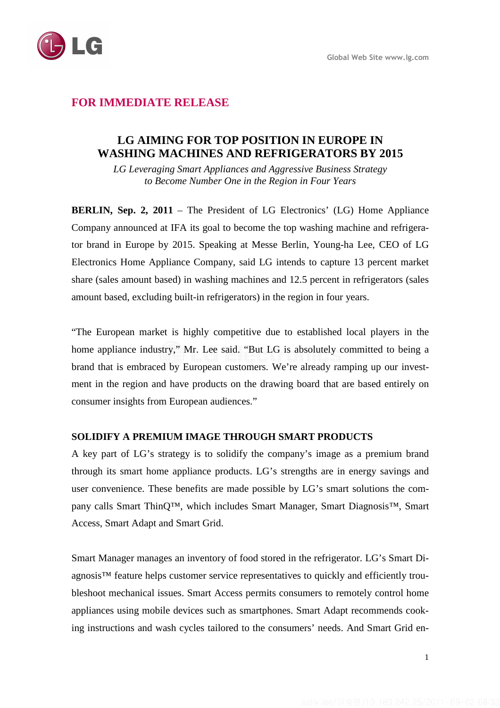

# **FOR IMMEDIATE RELEASE**

# **LG AIMING FOR TOP POSITION IN EUROPE IN WASHING MACHINES AND REFRIGERATORS BY 2015**

*LG Leveraging Smart Appliances and Aggressive Business Strategy to Become Number One in the Region in Four Years* 

**BERLIN, Sep. 2, 2011** – The President of LG Electronics' (LG) Home Appliance Company announced at IFA its goal to become the top washing machine and refrigerator brand in Europe by 2015. Speaking at Messe Berlin, Young-ha Lee, CEO of LG Electronics Home Appliance Company, said LG intends to capture 13 percent market share (sales amount based) in washing machines and 12.5 percent in refrigerators (sales amount based, excluding built-in refrigerators) in the region in four years.

"The European market is highly competitive due to established local players in the home appliance industry," Mr. Lee said. "But LG is absolutely committed to being a brand that is embraced by European customers. We're already ramping up our investment in the region and have products on the drawing board that are based entirely on consumer insights from European audiences."

## **SOLIDIFY A PREMIUM IMAGE THROUGH SMART PRODUCTS**

A key part of LG's strategy is to solidify the company's image as a premium brand through its smart home appliance products. LG's strengths are in energy savings and user convenience. These benefits are made possible by LG's smart solutions the company calls Smart ThinQ™, which includes Smart Manager, Smart Diagnosis™, Smart Access, Smart Adapt and Smart Grid.

Smart Manager manages an inventory of food stored in the refrigerator. LG's Smart Diagnosis™ feature helps customer service representatives to quickly and efficiently troubleshoot mechanical issues. Smart Access permits consumers to remotely control home appliances using mobile devices such as smartphones. Smart Adapt recommends cooking instructions and wash cycles tailored to the consumers' needs. And Smart Grid en-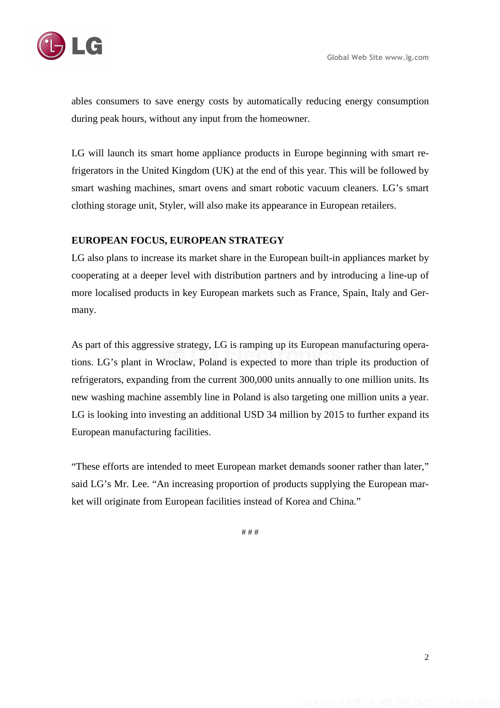

ables consumers to save energy costs by automatically reducing energy consumption during peak hours, without any input from the homeowner.

LG will launch its smart home appliance products in Europe beginning with smart refrigerators in the United Kingdom (UK) at the end of this year. This will be followed by smart washing machines, smart ovens and smart robotic vacuum cleaners. LG's smart clothing storage unit, Styler, will also make its appearance in European retailers.

## **EUROPEAN FOCUS, EUROPEAN STRATEGY**

LG also plans to increase its market share in the European built-in appliances market by cooperating at a deeper level with distribution partners and by introducing a line-up of more localised products in key European markets such as France, Spain, Italy and Germany.

As part of this aggressive strategy, LG is ramping up its European manufacturing operations. LG's plant in Wroclaw, Poland is expected to more than triple its production of refrigerators, expanding from the current 300,000 units annually to one million units. Its new washing machine assembly line in Poland is also targeting one million units a year. LG is looking into investing an additional USD 34 million by 2015 to further expand its European manufacturing facilities.

"These efforts are intended to meet European market demands sooner rather than later," said LG's Mr. Lee. "An increasing proportion of products supplying the European market will originate from European facilities instead of Korea and China."

# # #